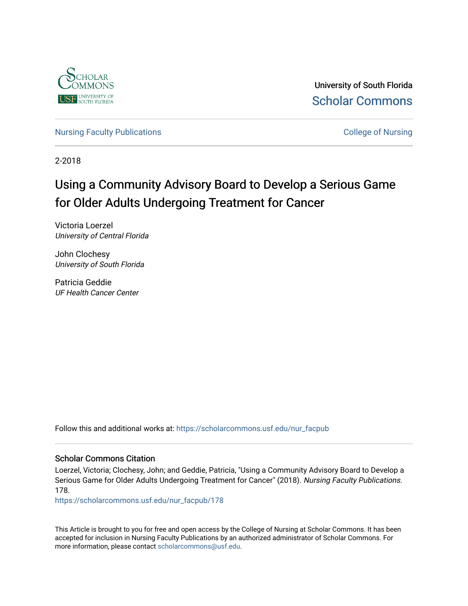

University of South Florida [Scholar Commons](https://scholarcommons.usf.edu/) 

[Nursing Faculty Publications](https://scholarcommons.usf.edu/nur_facpub) **College of Nursing** 

2-2018

# Using a Community Advisory Board to Develop a Serious Game for Older Adults Undergoing Treatment for Cancer

Victoria Loerzel University of Central Florida

John Clochesy University of South Florida

Patricia Geddie UF Health Cancer Center

Follow this and additional works at: [https://scholarcommons.usf.edu/nur\\_facpub](https://scholarcommons.usf.edu/nur_facpub?utm_source=scholarcommons.usf.edu%2Fnur_facpub%2F178&utm_medium=PDF&utm_campaign=PDFCoverPages) 

#### Scholar Commons Citation

Loerzel, Victoria; Clochesy, John; and Geddie, Patricia, "Using a Community Advisory Board to Develop a Serious Game for Older Adults Undergoing Treatment for Cancer" (2018). Nursing Faculty Publications. 178.

[https://scholarcommons.usf.edu/nur\\_facpub/178](https://scholarcommons.usf.edu/nur_facpub/178?utm_source=scholarcommons.usf.edu%2Fnur_facpub%2F178&utm_medium=PDF&utm_campaign=PDFCoverPages) 

This Article is brought to you for free and open access by the College of Nursing at Scholar Commons. It has been accepted for inclusion in Nursing Faculty Publications by an authorized administrator of Scholar Commons. For more information, please contact [scholarcommons@usf.edu](mailto:scholarcommons@usf.edu).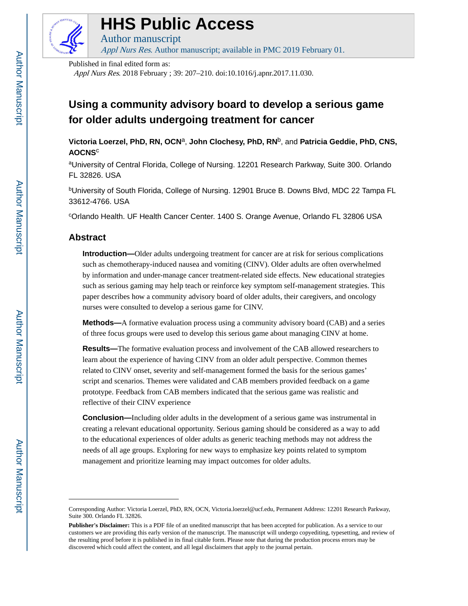

# **HHS Public Access**

Author manuscript Appl Nurs Res. Author manuscript; available in PMC 2019 February 01.

Published in final edited form as:

Appl Nurs Res. 2018 February ; 39: 207–210. doi:10.1016/j.apnr.2017.11.030.

## **Using a community advisory board to develop a serious game for older adults undergoing treatment for cancer**

**Victoria Loerzel, PhD, RN, OCN**a, **John Clochesy, PhD, RN**b, and **Patricia Geddie, PhD, CNS, AOCNS**<sup>c</sup>

aUniversity of Central Florida, College of Nursing. 12201 Research Parkway, Suite 300. Orlando FL 32826. USA

bUniversity of South Florida, College of Nursing. 12901 Bruce B. Downs Blvd, MDC 22 Tampa FL 33612-4766. USA

<sup>c</sup>Orlando Health. UF Health Cancer Center. 1400 S. Orange Avenue, Orlando FL 32806 USA

### **Abstract**

**Introduction—**Older adults undergoing treatment for cancer are at risk for serious complications such as chemotherapy-induced nausea and vomiting (CINV). Older adults are often overwhelmed by information and under-manage cancer treatment-related side effects. New educational strategies such as serious gaming may help teach or reinforce key symptom self-management strategies. This paper describes how a community advisory board of older adults, their caregivers, and oncology nurses were consulted to develop a serious game for CINV.

**Methods—**A formative evaluation process using a community advisory board (CAB) and a series of three focus groups were used to develop this serious game about managing CINV at home.

**Results—**The formative evaluation process and involvement of the CAB allowed researchers to learn about the experience of having CINV from an older adult perspective. Common themes related to CINV onset, severity and self-management formed the basis for the serious games' script and scenarios. Themes were validated and CAB members provided feedback on a game prototype. Feedback from CAB members indicated that the serious game was realistic and reflective of their CINV experience

**Conclusion—**Including older adults in the development of a serious game was instrumental in creating a relevant educational opportunity. Serious gaming should be considered as a way to add to the educational experiences of older adults as generic teaching methods may not address the needs of all age groups. Exploring for new ways to emphasize key points related to symptom management and prioritize learning may impact outcomes for older adults.

Corresponding Author: Victoria Loerzel, PhD, RN, OCN, Victoria.loerzel@ucf.edu, Permanent Address: 12201 Research Parkway, Suite 300. Orlando FL 32826.

**Publisher's Disclaimer:** This is a PDF file of an unedited manuscript that has been accepted for publication. As a service to our customers we are providing this early version of the manuscript. The manuscript will undergo copyediting, typesetting, and review of the resulting proof before it is published in its final citable form. Please note that during the production process errors may be discovered which could affect the content, and all legal disclaimers that apply to the journal pertain.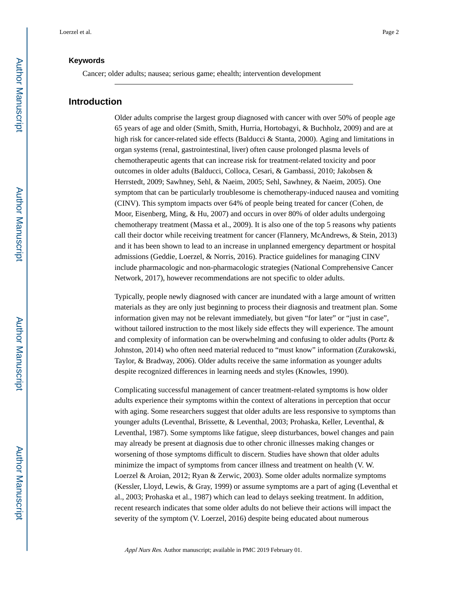#### **Keywords**

Cancer; older adults; nausea; serious game; ehealth; intervention development

#### **Introduction**

Older adults comprise the largest group diagnosed with cancer with over 50% of people age 65 years of age and older (Smith, Smith, Hurria, Hortobagyi, & Buchholz, 2009) and are at high risk for cancer-related side effects (Balducci & Stanta, 2000). Aging and limitations in organ systems (renal, gastrointestinal, liver) often cause prolonged plasma levels of chemotherapeutic agents that can increase risk for treatment-related toxicity and poor outcomes in older adults (Balducci, Colloca, Cesari, & Gambassi, 2010; Jakobsen & Herrstedt, 2009; Sawhney, Sehl, & Naeim, 2005; Sehl, Sawhney, & Naeim, 2005). One symptom that can be particularly troublesome is chemotherapy-induced nausea and vomiting (CINV). This symptom impacts over 64% of people being treated for cancer (Cohen, de Moor, Eisenberg, Ming, & Hu, 2007) and occurs in over 80% of older adults undergoing chemotherapy treatment (Massa et al., 2009). It is also one of the top 5 reasons why patients call their doctor while receiving treatment for cancer (Flannery, McAndrews, & Stein, 2013) and it has been shown to lead to an increase in unplanned emergency department or hospital admissions (Geddie, Loerzel, & Norris, 2016). Practice guidelines for managing CINV include pharmacologic and non-pharmacologic strategies (National Comprehensive Cancer Network, 2017), however recommendations are not specific to older adults.

Typically, people newly diagnosed with cancer are inundated with a large amount of written materials as they are only just beginning to process their diagnosis and treatment plan. Some information given may not be relevant immediately, but given "for later" or "just in case", without tailored instruction to the most likely side effects they will experience. The amount and complexity of information can be overwhelming and confusing to older adults (Portz & Johnston, 2014) who often need material reduced to "must know" information (Zurakowski, Taylor, & Bradway, 2006). Older adults receive the same information as younger adults despite recognized differences in learning needs and styles (Knowles, 1990).

Complicating successful management of cancer treatment-related symptoms is how older adults experience their symptoms within the context of alterations in perception that occur with aging. Some researchers suggest that older adults are less responsive to symptoms than younger adults (Leventhal, Brissette, & Leventhal, 2003; Prohaska, Keller, Leventhal, & Leventhal, 1987). Some symptoms like fatigue, sleep disturbances, bowel changes and pain may already be present at diagnosis due to other chronic illnesses making changes or worsening of those symptoms difficult to discern. Studies have shown that older adults minimize the impact of symptoms from cancer illness and treatment on health (V. W. Loerzel & Aroian, 2012; Ryan & Zerwic, 2003). Some older adults normalize symptoms (Kessler, Lloyd, Lewis, & Gray, 1999) or assume symptoms are a part of aging (Leventhal et al., 2003; Prohaska et al., 1987) which can lead to delays seeking treatment. In addition, recent research indicates that some older adults do not believe their actions will impact the severity of the symptom (V. Loerzel, 2016) despite being educated about numerous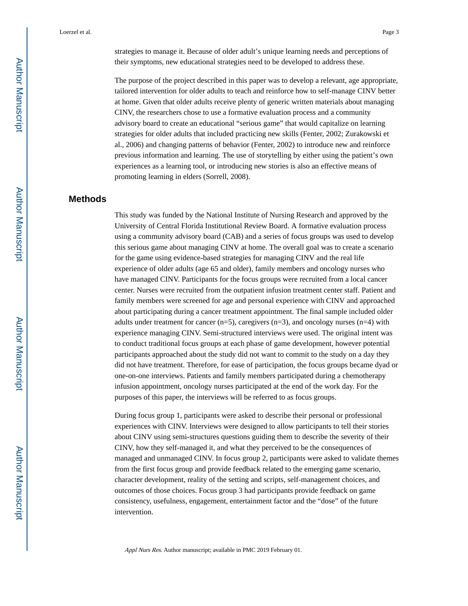Loerzel et al. Page 3

strategies to manage it. Because of older adult's unique learning needs and perceptions of their symptoms, new educational strategies need to be developed to address these.

The purpose of the project described in this paper was to develop a relevant, age appropriate, tailored intervention for older adults to teach and reinforce how to self-manage CINV better at home. Given that older adults receive plenty of generic written materials about managing CINV, the researchers chose to use a formative evaluation process and a community advisory board to create an educational "serious game" that would capitalize on learning strategies for older adults that included practicing new skills (Fenter, 2002; Zurakowski et al., 2006) and changing patterns of behavior (Fenter, 2002) to introduce new and reinforce previous information and learning. The use of storytelling by either using the patient's own experiences as a learning tool, or introducing new stories is also an effective means of promoting learning in elders (Sorrell, 2008).

#### **Methods**

This study was funded by the National Institute of Nursing Research and approved by the University of Central Florida Institutional Review Board. A formative evaluation process using a community advisory board (CAB) and a series of focus groups was used to develop this serious game about managing CINV at home. The overall goal was to create a scenario for the game using evidence-based strategies for managing CINV and the real life experience of older adults (age 65 and older), family members and oncology nurses who have managed CINV. Participants for the focus groups were recruited from a local cancer center. Nurses were recruited from the outpatient infusion treatment center staff. Patient and family members were screened for age and personal experience with CINV and approached about participating during a cancer treatment appointment. The final sample included older adults under treatment for cancer  $(n=5)$ , caregivers  $(n=3)$ , and oncology nurses  $(n=4)$  with experience managing CINV. Semi-structured interviews were used. The original intent was to conduct traditional focus groups at each phase of game development, however potential participants approached about the study did not want to commit to the study on a day they did not have treatment. Therefore, for ease of participation, the focus groups became dyad or one-on-one interviews. Patients and family members participated during a chemotherapy infusion appointment, oncology nurses participated at the end of the work day. For the purposes of this paper, the interviews will be referred to as focus groups.

During focus group 1, participants were asked to describe their personal or professional experiences with CINV. Interviews were designed to allow participants to tell their stories about CINV using semi-structures questions guiding them to describe the severity of their CINV, how they self-managed it, and what they perceived to be the consequences of managed and unmanaged CINV. In focus group 2, participants were asked to validate themes from the first focus group and provide feedback related to the emerging game scenario, character development, reality of the setting and scripts, self-management choices, and outcomes of those choices. Focus group 3 had participants provide feedback on game consistency, usefulness, engagement, entertainment factor and the "dose" of the future intervention.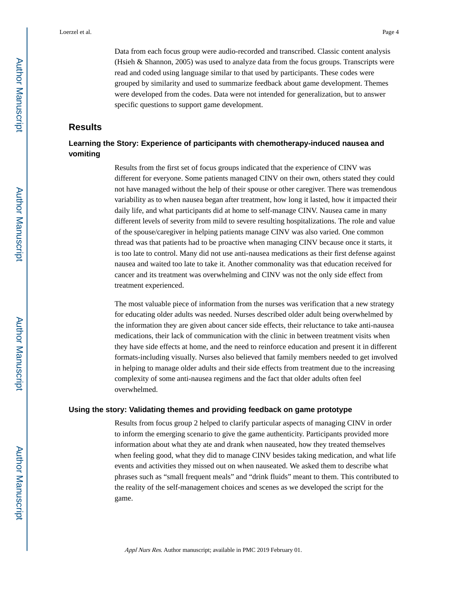Data from each focus group were audio-recorded and transcribed. Classic content analysis (Hsieh & Shannon, 2005) was used to analyze data from the focus groups. Transcripts were read and coded using language similar to that used by participants. These codes were grouped by similarity and used to summarize feedback about game development. Themes were developed from the codes. Data were not intended for generalization, but to answer specific questions to support game development.

#### **Results**

### **Learning the Story: Experience of participants with chemotherapy-induced nausea and vomiting**

Results from the first set of focus groups indicated that the experience of CINV was different for everyone. Some patients managed CINV on their own, others stated they could not have managed without the help of their spouse or other caregiver. There was tremendous variability as to when nausea began after treatment, how long it lasted, how it impacted their daily life, and what participants did at home to self-manage CINV. Nausea came in many different levels of severity from mild to severe resulting hospitalizations. The role and value of the spouse/caregiver in helping patients manage CINV was also varied. One common thread was that patients had to be proactive when managing CINV because once it starts, it is too late to control. Many did not use anti-nausea medications as their first defense against nausea and waited too late to take it. Another commonality was that education received for cancer and its treatment was overwhelming and CINV was not the only side effect from treatment experienced.

The most valuable piece of information from the nurses was verification that a new strategy for educating older adults was needed. Nurses described older adult being overwhelmed by the information they are given about cancer side effects, their reluctance to take anti-nausea medications, their lack of communication with the clinic in between treatment visits when they have side effects at home, and the need to reinforce education and present it in different formats-including visually. Nurses also believed that family members needed to get involved in helping to manage older adults and their side effects from treatment due to the increasing complexity of some anti-nausea regimens and the fact that older adults often feel overwhelmed.

#### **Using the story: Validating themes and providing feedback on game prototype**

Results from focus group 2 helped to clarify particular aspects of managing CINV in order to inform the emerging scenario to give the game authenticity. Participants provided more information about what they ate and drank when nauseated, how they treated themselves when feeling good, what they did to manage CINV besides taking medication, and what life events and activities they missed out on when nauseated. We asked them to describe what phrases such as "small frequent meals" and "drink fluids" meant to them. This contributed to the reality of the self-management choices and scenes as we developed the script for the game.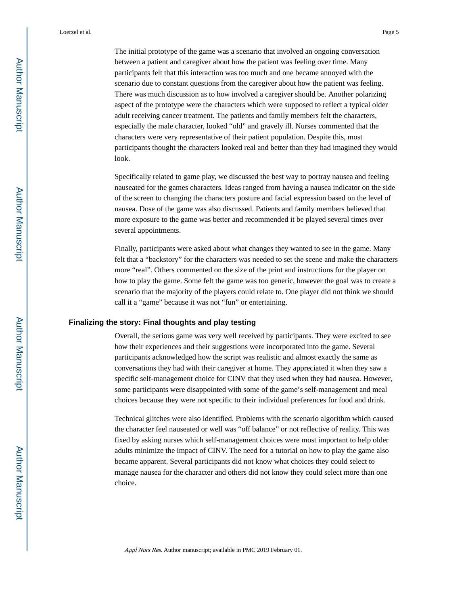Loerzel et al. Page 5

The initial prototype of the game was a scenario that involved an ongoing conversation between a patient and caregiver about how the patient was feeling over time. Many participants felt that this interaction was too much and one became annoyed with the scenario due to constant questions from the caregiver about how the patient was feeling. There was much discussion as to how involved a caregiver should be. Another polarizing aspect of the prototype were the characters which were supposed to reflect a typical older adult receiving cancer treatment. The patients and family members felt the characters, especially the male character, looked "old" and gravely ill. Nurses commented that the characters were very representative of their patient population. Despite this, most participants thought the characters looked real and better than they had imagined they would look.

Specifically related to game play, we discussed the best way to portray nausea and feeling nauseated for the games characters. Ideas ranged from having a nausea indicator on the side of the screen to changing the characters posture and facial expression based on the level of nausea. Dose of the game was also discussed. Patients and family members believed that more exposure to the game was better and recommended it be played several times over several appointments.

Finally, participants were asked about what changes they wanted to see in the game. Many felt that a "backstory" for the characters was needed to set the scene and make the characters more "real". Others commented on the size of the print and instructions for the player on how to play the game. Some felt the game was too generic, however the goal was to create a scenario that the majority of the players could relate to. One player did not think we should call it a "game" because it was not "fun" or entertaining.

#### **Finalizing the story: Final thoughts and play testing**

Overall, the serious game was very well received by participants. They were excited to see how their experiences and their suggestions were incorporated into the game. Several participants acknowledged how the script was realistic and almost exactly the same as conversations they had with their caregiver at home. They appreciated it when they saw a specific self-management choice for CINV that they used when they had nausea. However, some participants were disappointed with some of the game's self-management and meal choices because they were not specific to their individual preferences for food and drink.

Technical glitches were also identified. Problems with the scenario algorithm which caused the character feel nauseated or well was "off balance" or not reflective of reality. This was fixed by asking nurses which self-management choices were most important to help older adults minimize the impact of CINV. The need for a tutorial on how to play the game also became apparent. Several participants did not know what choices they could select to manage nausea for the character and others did not know they could select more than one choice.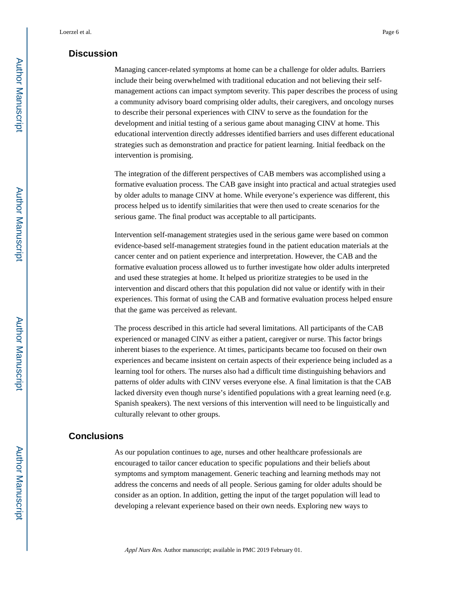#### **Discussion**

Managing cancer-related symptoms at home can be a challenge for older adults. Barriers include their being overwhelmed with traditional education and not believing their selfmanagement actions can impact symptom severity. This paper describes the process of using a community advisory board comprising older adults, their caregivers, and oncology nurses to describe their personal experiences with CINV to serve as the foundation for the development and initial testing of a serious game about managing CINV at home. This educational intervention directly addresses identified barriers and uses different educational strategies such as demonstration and practice for patient learning. Initial feedback on the intervention is promising.

The integration of the different perspectives of CAB members was accomplished using a formative evaluation process. The CAB gave insight into practical and actual strategies used by older adults to manage CINV at home. While everyone's experience was different, this process helped us to identify similarities that were then used to create scenarios for the serious game. The final product was acceptable to all participants.

Intervention self-management strategies used in the serious game were based on common evidence-based self-management strategies found in the patient education materials at the cancer center and on patient experience and interpretation. However, the CAB and the formative evaluation process allowed us to further investigate how older adults interpreted and used these strategies at home. It helped us prioritize strategies to be used in the intervention and discard others that this population did not value or identify with in their experiences. This format of using the CAB and formative evaluation process helped ensure that the game was perceived as relevant.

The process described in this article had several limitations. All participants of the CAB experienced or managed CINV as either a patient, caregiver or nurse. This factor brings inherent biases to the experience. At times, participants became too focused on their own experiences and became insistent on certain aspects of their experience being included as a learning tool for others. The nurses also had a difficult time distinguishing behaviors and patterns of older adults with CINV verses everyone else. A final limitation is that the CAB lacked diversity even though nurse's identified populations with a great learning need (e.g. Spanish speakers). The next versions of this intervention will need to be linguistically and culturally relevant to other groups.

#### **Conclusions**

As our population continues to age, nurses and other healthcare professionals are encouraged to tailor cancer education to specific populations and their beliefs about symptoms and symptom management. Generic teaching and learning methods may not address the concerns and needs of all people. Serious gaming for older adults should be consider as an option. In addition, getting the input of the target population will lead to developing a relevant experience based on their own needs. Exploring new ways to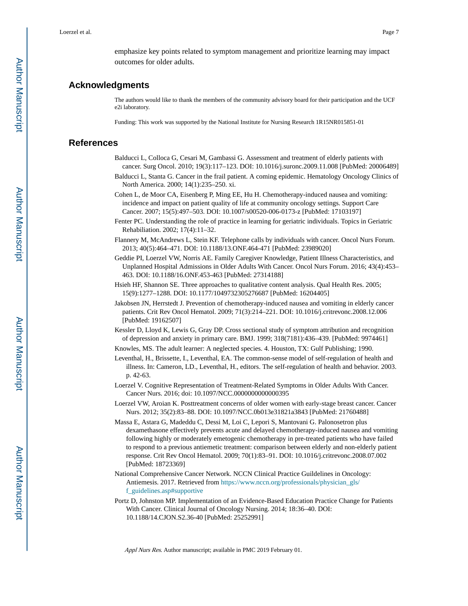emphasize key points related to symptom management and prioritize learning may impact outcomes for older adults.

#### **Acknowledgments**

The authors would like to thank the members of the community advisory board for their participation and the UCF e2i laboratory.

Funding: This work was supported by the National Institute for Nursing Research 1R15NR015851-01

#### **References**

- Balducci L, Colloca G, Cesari M, Gambassi G. Assessment and treatment of elderly patients with cancer. Surg Oncol. 2010; 19(3):117–123. DOI: 10.1016/j.suronc.2009.11.008 [PubMed: 20006489]
- Balducci L, Stanta G. Cancer in the frail patient. A coming epidemic. Hematology Oncology Clinics of North America. 2000; 14(1):235–250. xi.
- Cohen L, de Moor CA, Eisenberg P, Ming EE, Hu H. Chemotherapy-induced nausea and vomiting: incidence and impact on patient quality of life at community oncology settings. Support Care Cancer. 2007; 15(5):497–503. DOI: 10.1007/s00520-006-0173-z [PubMed: 17103197]
- Fenter PC. Understanding the role of practice in learning for geriatric individuals. Topics in Geriatric Rehabiliation. 2002; 17(4):11–32.
- Flannery M, McAndrews L, Stein KF. Telephone calls by individuals with cancer. Oncol Nurs Forum. 2013; 40(5):464–471. DOI: 10.1188/13.ONF.464-471 [PubMed: 23989020]
- Geddie PI, Loerzel VW, Norris AE. Family Caregiver Knowledge, Patient Illness Characteristics, and Unplanned Hospital Admissions in Older Adults With Cancer. Oncol Nurs Forum. 2016; 43(4):453– 463. DOI: 10.1188/16.ONF.453-463 [PubMed: 27314188]
- Hsieh HF, Shannon SE. Three approaches to qualitative content analysis. Qual Health Res. 2005; 15(9):1277–1288. DOI: 10.1177/1049732305276687 [PubMed: 16204405]
- Jakobsen JN, Herrstedt J. Prevention of chemotherapy-induced nausea and vomiting in elderly cancer patients. Crit Rev Oncol Hematol. 2009; 71(3):214–221. DOI: 10.1016/j.critrevonc.2008.12.006 [PubMed: 19162507]
- Kessler D, Lloyd K, Lewis G, Gray DP. Cross sectional study of symptom attribution and recognition of depression and anxiety in primary care. BMJ. 1999; 318(7181):436–439. [PubMed: 9974461]
- Knowles, MS. The adult learner: A neglected species. 4. Houston, TX: Gulf Publishing; 1990.
- Leventhal, H., Brissette, I., Leventhal, EA. The common-sense model of self-regulation of health and illness. In: Cameron, LD., Leventhal, H., editors. The self-regulation of health and behavior. 2003. p. 42-63.
- Loerzel V. Cognitive Representation of Treatment-Related Symptoms in Older Adults With Cancer. Cancer Nurs. 2016; doi: 10.1097/NCC.0000000000000395
- Loerzel VW, Aroian K. Posttreatment concerns of older women with early-stage breast cancer. Cancer Nurs. 2012; 35(2):83–88. DOI: 10.1097/NCC.0b013e31821a3843 [PubMed: 21760488]
- Massa E, Astara G, Madeddu C, Dessi M, Loi C, Lepori S, Mantovani G. Palonosetron plus dexamethasone effectively prevents acute and delayed chemotherapy-induced nausea and vomiting following highly or moderately emetogenic chemotherapy in pre-treated patients who have failed to respond to a previous antiemetic treatment: comparison between elderly and non-elderly patient response. Crit Rev Oncol Hematol. 2009; 70(1):83–91. DOI: 10.1016/j.critrevonc.2008.07.002 [PubMed: 18723369]
- National Comprehensive Cancer Network. NCCN Clinical Practice Guildelines in Oncology: Antiemesis. 2017. Retrieved from [https://www.nccn.org/professionals/physician\\_gls/](https://www.nccn.org/professionals/physician_gls/f_guidelines.asp#supportive) [f\\_guidelines.asp#supportive](https://www.nccn.org/professionals/physician_gls/f_guidelines.asp#supportive)
- Portz D, Johnston MP. Implementation of an Evidence-Based Education Practice Change for Patients With Cancer. Clinical Journal of Oncology Nursing. 2014; 18:36–40. DOI: 10.1188/14.CJON.S2.36-40 [PubMed: 25252991]